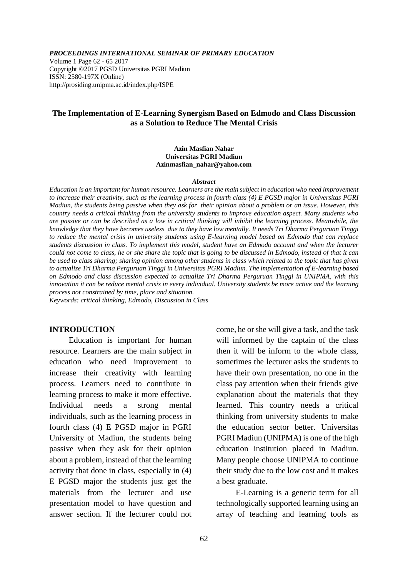*PROCEEDINGS INTERNATIONAL SEMINAR OF PRIMARY EDUCATION*

Volume 1 Page 62 - 65 2017 Copyright ©2017 PGSD Universitas PGRI Madiun ISSN: 2580-197X (Online) http://prosiding.unipma.ac.id/index.php/ISPE

## **The Implementation of E-Learning Synergism Based on Edmodo and Class Discussion as a Solution to Reduce The Mental Crisis**

#### **Azin Masfian Nahar Universitas PGRI Madiun [Azinmasfian\\_nahar@yahoo.com](mailto:Azinmasfian_nahar@yahoo.com)**

#### *Abstract*

*Education is an important for human resource. Learners are the main subject in education who need improvement to increase their creativity, such as the learning process in fourth class (4) E PGSD major in Universitas PGRI Madiun, the students being passive when they ask for their opinion about a problem or an issue. However, this country needs a critical thinking from the university students to improve education aspect. Many students who are passive or can be described as a low in critical thinking will inhibit the learning process. Meanwhile, the knowledge that they have becomes useless due to they have low mentally. It needs Tri Dharma Perguruan Tinggi to reduce the mental crisis in university students using E-learning model based on Edmodo that can replace students discussion in class. To implement this model, student have an Edmodo account and when the lecturer could not come to class, he or she share the topic that is going to be discussed in Edmodo, instead of that it can be used to class sharing; sharing opinion among other students in class which related to the topic that has given to actualize Tri Dharma Perguruan Tinggi in Universitas PGRI Madiun. The implementation of E-learning based on Edmodo and class discussion expected to actualize Tri Dharma Perguruan Tinggi in UNIPMA, with this innovation it can be reduce mental crisis in every individual. University students be more active and the learning process not constrained by time, place and situation.* 

*Keywords: critical thinking, Edmodo, Discussion in Class*

### **INTRODUCTION**

Education is important for human resource. Learners are the main subject in education who need improvement to increase their creativity with learning process. Learners need to contribute in learning process to make it more effective. Individual needs a strong mental individuals, such as the learning process in fourth class (4) E PGSD major in PGRI University of Madiun, the students being passive when they ask for their opinion about a problem, instead of that the learning activity that done in class, especially in (4) E PGSD major the students just get the materials from the lecturer and use presentation model to have question and answer section. If the lecturer could not come, he or she will give a task, and the task will informed by the captain of the class then it will be inform to the whole class, sometimes the lecturer asks the students to have their own presentation, no one in the class pay attention when their friends give explanation about the materials that they learned. This country needs a critical thinking from university students to make the education sector better. Universitas PGRI Madiun (UNIPMA) is one of the high education institution placed in Madiun. Many people choose UNIPMA to continue their study due to the low cost and it makes a best graduate.

E-Learning is a generic term for all technologically supported learning using an array of teaching and learning tools as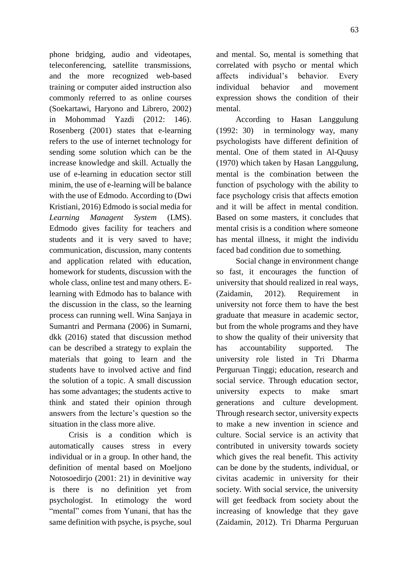phone bridging, audio and videotapes, teleconferencing, satellite transmissions, and the more recognized web-based training or computer aided instruction also commonly referred to as online courses (Soekartawi, Haryono and Librero, 2002) in Mohommad Yazdi (2012: 146). Rosenberg (2001) states that e-learning refers to the use of internet technology for sending some solution which can be the increase knowledge and skill. Actually the use of e-learning in education sector still minim, the use of e-learning will be balance with the use of Edmodo. According to (Dwi Kristiani, 2016) Edmodo is social media for *Learning Managent System* (LMS). Edmodo gives facility for teachers and students and it is very saved to have; communication, discussion, many contents and application related with education, homework for students, discussion with the whole class, online test and many others. Elearning with Edmodo has to balance with the discussion in the class, so the learning process can running well. Wina Sanjaya in Sumantri and Permana (2006) in Sumarni, dkk (2016) stated that discussion method can be described a strategy to explain the materials that going to learn and the students have to involved active and find the solution of a topic. A small discussion has some advantages; the students active to think and stated their opinion through answers from the lecture's question so the situation in the class more alive.

Crisis is a condition which is automatically causes stress in every individual or in a group. In other hand, the definition of mental based on Moeljono Notosoedirjo (2001: 21) in devinitive way is there is no definition yet from psychologist. In etimology the word "mental" comes from Yunani, that has the same definition with psyche, is psyche, soul and mental. So, mental is something that correlated with psycho or mental which affects individual's behavior. Every individual behavior and movement expression shows the condition of their mental.

According to Hasan Langgulung (1992: 30) in terminology way, many psychologists have different definition of mental. One of them stated in Al-Quusy (1970) which taken by Hasan Langgulung, mental is the combination between the function of psychology with the ability to face psychology crisis that affects emotion and it will be affect in mental condition. Based on some masters, it concludes that mental crisis is a condition where someone has mental illness, it might the individu faced bad condition due to something.

Social change in environment change so fast, it encourages the function of university that should realized in real ways, (Zaidamin, 2012). Requirement in university not force them to have the best graduate that measure in academic sector, but from the whole programs and they have to show the quality of their university that has accountability supported. The university role listed in Tri Dharma Perguruan Tinggi; education, research and social service. Through education sector, university expects to make smart generations and culture development. Through research sector, university expects to make a new invention in science and culture. Social service is an activity that contributed in university towards society which gives the real benefit. This activity can be done by the students, individual, or civitas academic in university for their society. With social service, the university will get feedback from society about the increasing of knowledge that they gave (Zaidamin, 2012). Tri Dharma Perguruan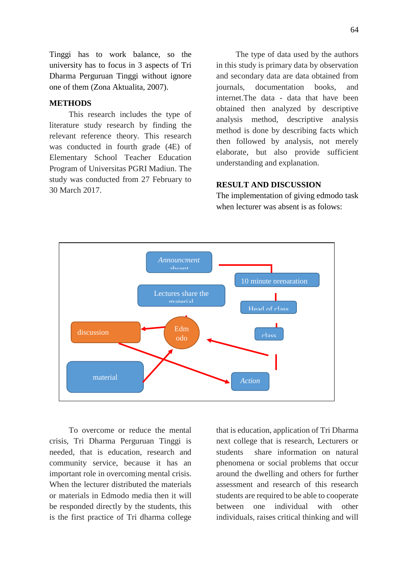Tinggi has to work balance, so the university has to focus in 3 aspects of Tri Dharma Perguruan Tinggi without ignore one of them (Zona Aktualita, 2007).

# **METHODS**

This research includes the type of literature study research by finding the relevant reference theory. This research was conducted in fourth grade (4E) of Elementary School Teacher Education Program of Universitas PGRI Madiun. The study was conducted from 27 February to 30 March 2017.

The type of data used by the authors in this study is primary data by observation and secondary data are data obtained from journals, documentation books, and internet.The data - data that have been obtained then analyzed by descriptive analysis method, descriptive analysis method is done by describing facts which then followed by analysis, not merely elaborate, but also provide sufficient understanding and explanation.

# **RESULT AND DISCUSSION**

The implementation of giving edmodo task when lecturer was absent is as folows:



To overcome or reduce the mental crisis, Tri Dharma Perguruan Tinggi is needed, that is education, research and community service, because it has an important role in overcoming mental crisis. When the lecturer distributed the materials or materials in Edmodo media then it will be responded directly by the students, this is the first practice of Tri dharma college

that is education, application of Tri Dharma next college that is research, Lecturers or students share information on natural phenomena or social problems that occur around the dwelling and others for further assessment and research of this research students are required to be able to cooperate between one individual with other individuals, raises critical thinking and will